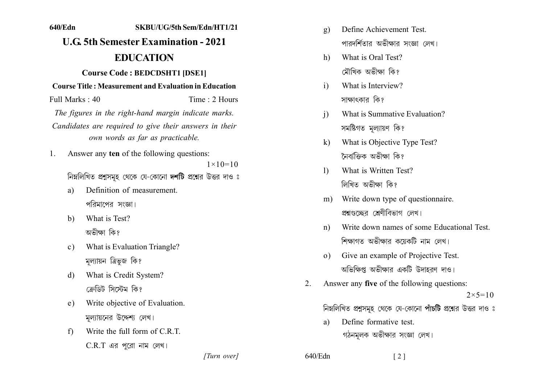## **1111111 11111111111111111111111111 11.6 5th Semester Examination - 2021 EDUCATION Course Code: BEDCDSHT1 [DSE1] Course Title: Measurement and Evaluation in Education**  $Full Marks: 40$  Time 2 Hours *The figures in the right-hand margin indicate marks.* Candidates are required to give their answers in their *own words as far as practicable.* 1. Answer any **ten** of the following questions:  $1 \times 10 = 10$ নিম্নলিখিত প্রশ্নসমূহ থেকে যে-কোনো দশটি প্রশ্নের উত্তর দাও ঃ a) Definition of measurement পরিমাপের সংজ্ঞা। b) What is Test? অভীক্ষা কি? c) What is Evaluation Triangle? মল্যায়ন ত্রিভূজ কি? d) What is Credit System? ংকী দেঁজোবী র্টখীক্রী e) Write objective of Evaluation. মল্যায়নের উদ্দেশ্য লেখ।  $\text{f}$  Write the full form of C.R.T.

 $C.R.T$  এর পুরো নাম লেখ।

- g) Define Achievement Test. পারদর্শিতার অভীক্ষার সংজ্ঞা লেখ।
- h) What is Oral Test? মৌথিক অভীক্ষা কি?
- i) What is Interview? সাক্ষাৎকাব কি?
- i) What is Summative Evaluation? সমষ্টিগত মল্যায়ণ কি?
- k) What is Objective Type Test? নৈবাক্তিক অভীক্ষা কি?
- 1) What is Written Test? লিখিত অভীক্ষা কি?
- m) Write down type of question naire. প্রশ্নগুচ্ছের শ্রেণীবিভাগ লেখ।
- n) Write down names of some Educational Test শিক্ষাগত অভীক্ষার কয়েকটি নাম লেখ।
- o) Give an example of Projective Test. অভিক্ষিপ্ত অভীক্ষার একটি উদাহরণ দাও।
- 2. Answer any **five** of the following questions:  $2 \times 5 = 10$ নিম্নলিখিত প্রশুসমূহ থেকে যে-কোনো পাঁচটি প্রশ্নের উত্তর দাও ঃ
	- a) Define formative test. গঠনমূলক অভীক্ষার সংজ্ঞা লেখ।

*]]]]]] ]]]]]*

 $640/Edn$  [2]